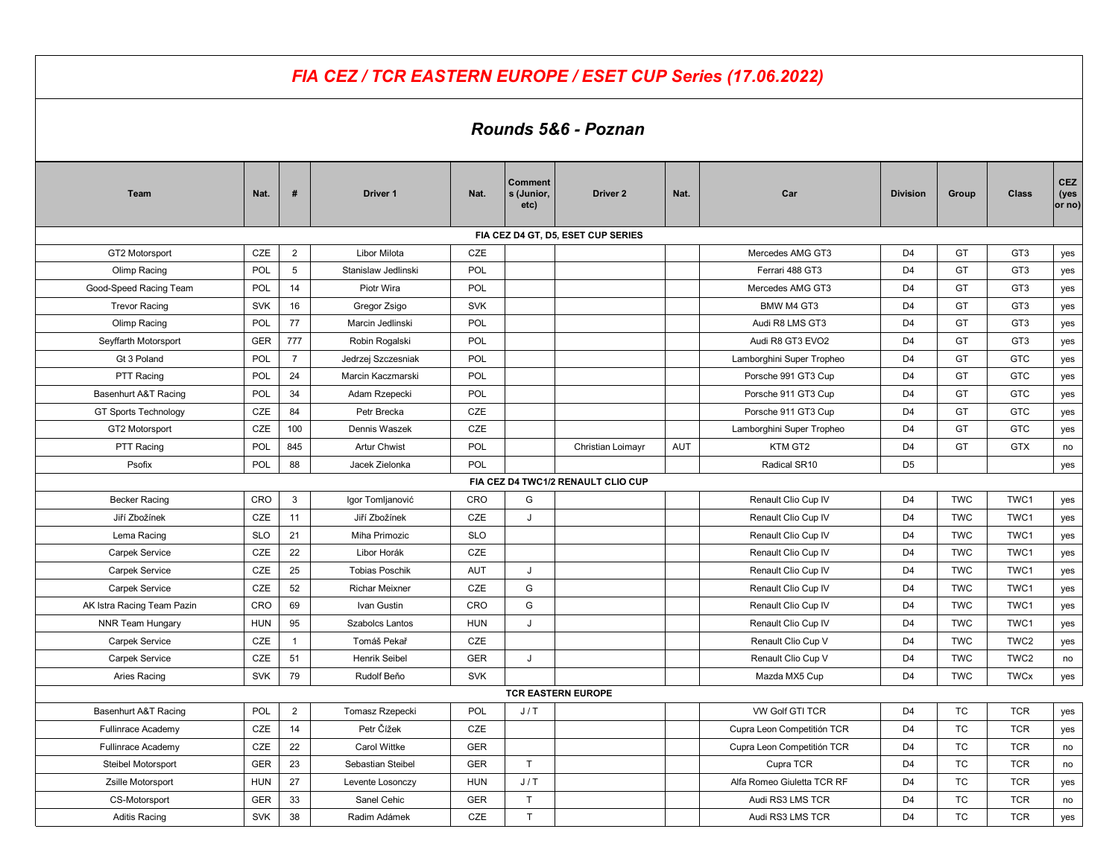|                             |            |                | FIA CEZ / TCR EASTERN EUROPE / ESET CUP Series (17.06.2022) |            |                                      |                                    |            |                            |                 |            |                  |  |
|-----------------------------|------------|----------------|-------------------------------------------------------------|------------|--------------------------------------|------------------------------------|------------|----------------------------|-----------------|------------|------------------|--|
| Rounds 5&6 - Poznan         |            |                |                                                             |            |                                      |                                    |            |                            |                 |            |                  |  |
| Team                        | Nat.       | #              | Driver 1                                                    | Nat.       | <b>Comment</b><br>s (Junior,<br>etc) | Driver <sub>2</sub>                | Nat.       | Car                        | <b>Division</b> | Group      | <b>Class</b>     |  |
|                             |            |                |                                                             |            |                                      | FIA CEZ D4 GT, D5, ESET CUP SERIES |            |                            |                 |            |                  |  |
| GT2 Motorsport              | CZE        | $\overline{2}$ | Libor Milota                                                | CZE        |                                      |                                    |            | Mercedes AMG GT3           | D <sub>4</sub>  | GT         | GT <sub>3</sub>  |  |
| Olimp Racing                | POL        | 5              | Stanislaw Jedlinski                                         | POL        |                                      |                                    |            | Ferrari 488 GT3            | D <sub>4</sub>  | GT         | GT <sub>3</sub>  |  |
| Good-Speed Racing Team      | POL        | 14             | Piotr Wira                                                  | POL        |                                      |                                    |            | Mercedes AMG GT3           | D <sub>4</sub>  | GT         | GT <sub>3</sub>  |  |
| <b>Trevor Racing</b>        | <b>SVK</b> | 16             | Gregor Zsigo                                                | <b>SVK</b> |                                      |                                    |            | BMW M4 GT3                 | D <sub>4</sub>  | GT         | GT <sub>3</sub>  |  |
| Olimp Racing                | <b>POL</b> | 77             | Marcin Jedlinski                                            | POL        |                                      |                                    |            | Audi R8 LMS GT3            | D <sub>4</sub>  | GT         | GT <sub>3</sub>  |  |
| Seyffarth Motorsport        | <b>GER</b> | 777            | Robin Rogalski                                              | POL        |                                      |                                    |            | Audi R8 GT3 EVO2           | D <sub>4</sub>  | GT         | GT <sub>3</sub>  |  |
| Gt 3 Poland                 | POL        | $\overline{7}$ | Jedrzej Szczesniak                                          | POL        |                                      |                                    |            | Lamborghini Super Tropheo  | D <sub>4</sub>  | GT         | <b>GTC</b>       |  |
| PTT Racing                  | <b>POL</b> | 24             | Marcin Kaczmarski                                           | POL        |                                      |                                    |            | Porsche 991 GT3 Cup        | D <sub>4</sub>  | GT         | <b>GTC</b>       |  |
| Basenhurt A&T Racing        | POL        | 34             | Adam Rzepecki                                               | POL        |                                      |                                    |            | Porsche 911 GT3 Cup        | D <sub>4</sub>  | GT         | <b>GTC</b>       |  |
| <b>GT Sports Technology</b> | CZE        | 84             | Petr Brecka                                                 | CZE        |                                      |                                    |            | Porsche 911 GT3 Cup        | D <sub>4</sub>  | GT         | <b>GTC</b>       |  |
| GT2 Motorsport              | CZE        | 100            | Dennis Waszek                                               | CZE        |                                      |                                    |            | Lamborghini Super Tropheo  | D <sub>4</sub>  | GT         | <b>GTC</b>       |  |
| PTT Racing                  | <b>POL</b> | 845            | <b>Artur Chwist</b>                                         | POL        |                                      | Christian Loimayr                  | <b>AUT</b> | KTM GT2                    | D <sub>4</sub>  | GT         | <b>GTX</b>       |  |
| Psofix                      | POL        | 88             | Jacek Zielonka                                              | POL        |                                      |                                    |            | Radical SR10               | D <sub>5</sub>  |            |                  |  |
|                             |            |                |                                                             |            |                                      | FIA CEZ D4 TWC1/2 RENAULT CLIO CUP |            |                            |                 |            |                  |  |
| <b>Becker Racing</b>        | CRO        | 3              | Igor Tomljanović                                            | CRO        | G                                    |                                    |            | Renault Clio Cup IV        | D <sub>4</sub>  | <b>TWC</b> | TWC1             |  |
| Jiří Zbožínek               | CZE        | 11             | Jiří Zbožínek                                               | CZE        | J                                    |                                    |            | Renault Clio Cup IV        | D4              | <b>TWC</b> | TWC1             |  |
| Lema Racing                 | <b>SLO</b> | 21             | Miha Primozic                                               | <b>SLO</b> |                                      |                                    |            | Renault Clio Cup IV        | D <sub>4</sub>  | <b>TWC</b> | TWC1             |  |
| <b>Carpek Service</b>       | CZE        | 22             | Libor Horák                                                 | CZE        |                                      |                                    |            | Renault Clio Cup IV        | D <sub>4</sub>  | <b>TWC</b> | TWC1             |  |
| <b>Carpek Service</b>       | CZE        | 25             | <b>Tobias Poschik</b>                                       | AUT        | J                                    |                                    |            | Renault Clio Cup IV        | D <sub>4</sub>  | <b>TWC</b> | TWC1             |  |
| Carpek Service              | CZE        | 52             | <b>Richar Meixner</b>                                       | CZE        | G                                    |                                    |            | Renault Clio Cup IV        | D <sub>4</sub>  | <b>TWC</b> | TWC1             |  |
| AK Istra Racing Team Pazin  | CRO        | 69             | Ivan Gustin                                                 | CRO        | G                                    |                                    |            | Renault Clio Cup IV        | D <sub>4</sub>  | <b>TWC</b> | TWC1             |  |
| NNR Team Hungary            | HUN        | 95             | Szabolcs Lantos                                             | HUN        | J                                    |                                    |            | Renault Clio Cup IV        | D <sub>4</sub>  | <b>TWC</b> | TWC1             |  |
| <b>Carpek Service</b>       | CZE        | $\mathbf{1}$   | Tomáš Pekař                                                 | CZE        |                                      |                                    |            | Renault Clio Cup V         | D <sub>4</sub>  | <b>TWC</b> | TWC <sub>2</sub> |  |
| <b>Carpek Service</b>       | CZE        | 51             | <b>Henrik Seibel</b>                                        | <b>GER</b> | J                                    |                                    |            | Renault Clio Cup V         | D <sub>4</sub>  | <b>TWC</b> | TWC <sub>2</sub> |  |
| Aries Racing                | <b>SVK</b> | 79             | Rudolf Beňo                                                 | <b>SVK</b> |                                      |                                    |            | Mazda MX5 Cup              | D <sub>4</sub>  | <b>TWC</b> | <b>TWCx</b>      |  |
|                             |            |                |                                                             |            |                                      | <b>TCR EASTERN EUROPE</b>          |            |                            |                 |            |                  |  |
| Basenhurt A&T Racing        | <b>POL</b> | $\overline{2}$ | Tomasz Rzepecki                                             | POL        | J/T                                  |                                    |            | VW Golf GTI TCR            | D <sub>4</sub>  | <b>TC</b>  | <b>TCR</b>       |  |
| Fullinrace Academy          | CZE        | 14             | Petr Čížek                                                  | CZE        |                                      |                                    |            | Cupra Leon Competitión TCR | D <sub>4</sub>  | <b>TC</b>  | <b>TCR</b>       |  |
| Fullinrace Academy          | CZE        | 22             | Carol Wittke                                                | <b>GER</b> |                                      |                                    |            | Cupra Leon Competitión TCR | D <sub>4</sub>  | TC         | <b>TCR</b>       |  |
| Steibel Motorsport          | GER        | 23             | Sebastian Steibel                                           | <b>GER</b> | T                                    |                                    |            | Cupra TCR                  | D <sub>4</sub>  | TC         | <b>TCR</b>       |  |
| Zsille Motorsport           | <b>HUN</b> | 27             | Levente Losonczy                                            | <b>HUN</b> | J/T                                  |                                    |            | Alfa Romeo Giuletta TCR RF | D <sub>4</sub>  | TC         | <b>TCR</b>       |  |
| CS-Motorsport               | GER        | 33             | Sanel Cehic                                                 | <b>GER</b> | T                                    |                                    |            | Audi RS3 LMS TCR           | D <sub>4</sub>  | TC         | <b>TCR</b>       |  |
| Aditis Racing               | SVK        | 38             | Radim Adámek                                                | CZE        | T                                    |                                    |            | Audi RS3 LMS TCR           | D <sub>4</sub>  | TC         | <b>TCR</b>       |  |